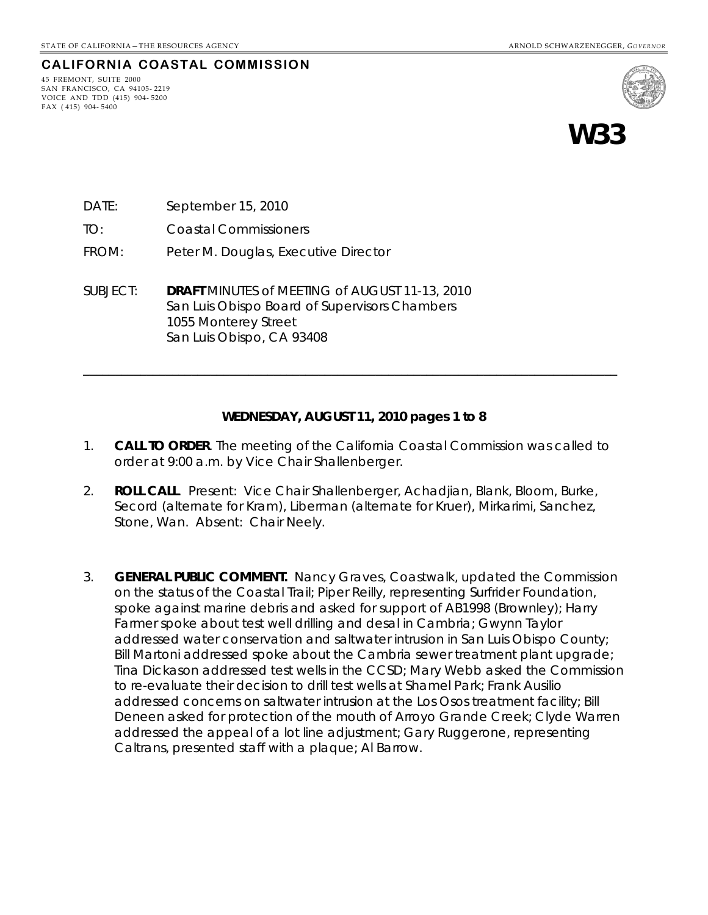#### **CALIFORNIA COASTAL COMMISSION**

45 FREMONT, SUITE 2000 SAN FRANCISCO, CA 94105- 2219 VOICE AND TDD (415) 904- 5200 FAX ( 415) 904- 5400



**W33** 

- DATE: September 15, 2010
- TO: Coastal Commissioners
- FROM: Peter M. Douglas, Executive Director
- SUBJECT: **DRAFT** MINUTES of MEETING of AUGUST 11-13, 2010 San Luis Obispo Board of Supervisors Chambers 1055 Monterey Street San Luis Obispo, CA 93408

#### **WEDNESDAY, AUGUST 11, 2010 pages 1 to 8**

\_\_\_\_\_\_\_\_\_\_\_\_\_\_\_\_\_\_\_\_\_\_\_\_\_\_\_\_\_\_\_\_\_\_\_\_\_\_\_\_\_\_\_\_\_\_\_\_\_\_\_\_\_\_\_\_\_\_\_\_\_\_\_\_\_\_\_\_\_\_\_\_\_\_\_\_\_\_\_\_\_\_\_\_

- 1. **CALL TO ORDER**. The meeting of the California Coastal Commission was called to order at 9:00 a.m. by Vice Chair Shallenberger.
- 2. **ROLL CALL**. Present: Vice Chair Shallenberger, Achadjian, Blank, Bloom, Burke, Secord (alternate for Kram), Liberman (alternate for Kruer), Mirkarimi, Sanchez, Stone, Wan. Absent: Chair Neely.
- 3. **GENERAL PUBLIC COMMENT.** Nancy Graves, Coastwalk, updated the Commission on the status of the Coastal Trail; Piper Reilly, representing Surfrider Foundation, spoke against marine debris and asked for support of AB1998 (Brownley); Harry Farmer spoke about test well drilling and desal in Cambria; Gwynn Taylor addressed water conservation and saltwater intrusion in San Luis Obispo County; Bill Martoni addressed spoke about the Cambria sewer treatment plant upgrade; Tina Dickason addressed test wells in the CCSD; Mary Webb asked the Commission to re-evaluate their decision to drill test wells at Shamel Park; Frank Ausilio addressed concerns on saltwater intrusion at the Los Osos treatment facility; Bill Deneen asked for protection of the mouth of Arroyo Grande Creek; Clyde Warren addressed the appeal of a lot line adjustment; Gary Ruggerone, representing Caltrans, presented staff with a plaque; Al Barrow.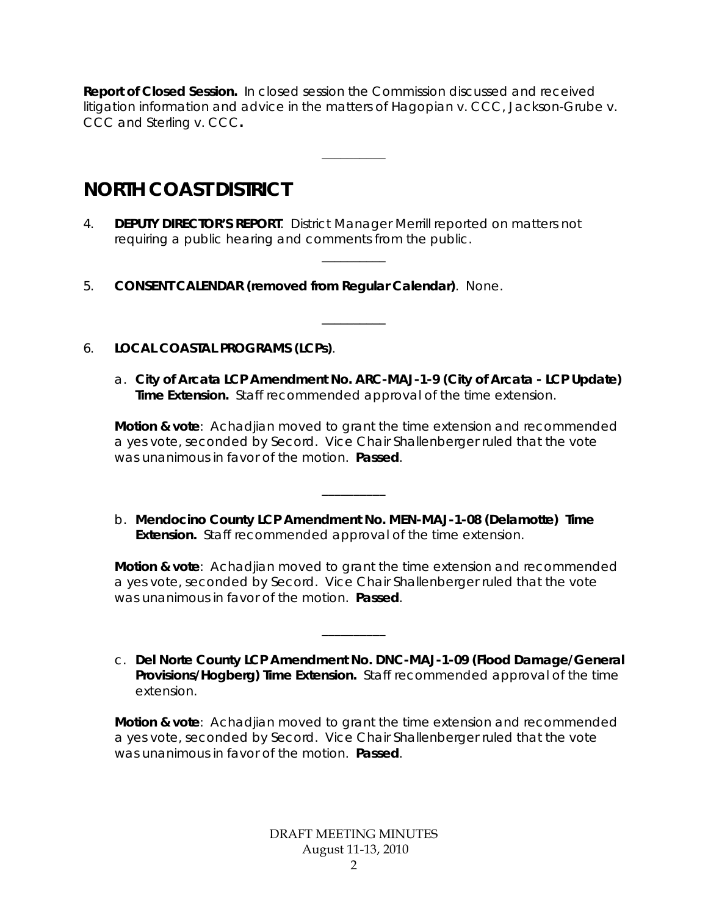**Report of Closed Session.** In closed session the Commission discussed and received litigation information and advice in the matters of Hagopian v. CCC, Jackson-Grube v. CCC and Sterling v. CCC**.** 

 $\overline{\phantom{a}}$ 

\_\_\_\_\_\_\_\_\_\_

\_\_\_\_\_\_\_\_\_\_

# **NORTH COAST DISTRICT**

- 4. **DEPUTY DIRECTOR'S REPORT**. District Manager Merrill reported on matters not requiring a public hearing and comments from the public.
- 5. **CONSENT CALENDAR (removed from Regular Calendar)**. None.
- 6. **LOCAL COASTAL PROGRAMS (LCPs)**.
	- a. **City of Arcata LCP Amendment No. ARC-MAJ-1-9 (City of Arcata LCP Update) Time Extension.** Staff recommended approval of the time extension.

**Motion & vote**: Achadjian moved to grant the time extension and recommended a yes vote, seconded by Secord. Vice Chair Shallenberger ruled that the vote was unanimous in favor of the motion. **Passed**.

b. **Mendocino County LCP Amendment No. MEN-MAJ-1-08 (Delamotte) Time Extension.** Staff recommended approval of the time extension.

**\_\_\_\_\_\_\_\_\_\_**

**\_\_\_\_\_\_\_\_\_\_**

**Motion & vote**: Achadjian moved to grant the time extension and recommended a yes vote, seconded by Secord. Vice Chair Shallenberger ruled that the vote was unanimous in favor of the motion. **Passed**.

c. **Del Norte County LCP Amendment No. DNC-MAJ-1-09 (Flood Damage/General Provisions/Hogberg) Time Extension.** Staff recommended approval of the time extension.

**Motion & vote**: Achadjian moved to grant the time extension and recommended a yes vote, seconded by Secord. Vice Chair Shallenberger ruled that the vote was unanimous in favor of the motion. **Passed**.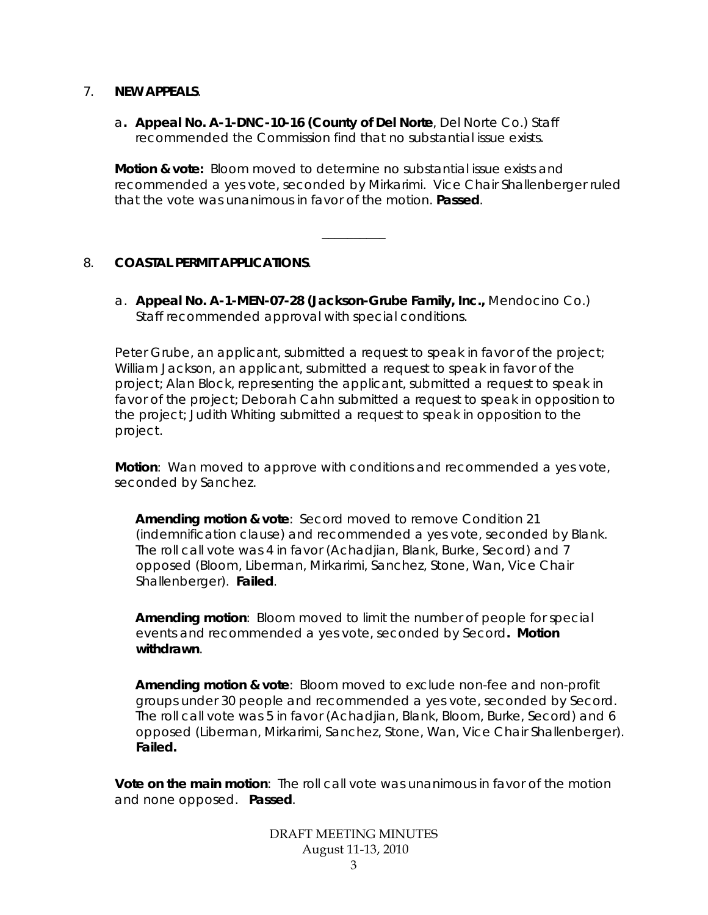#### 7. **NEW APPEALS**.

a**. Appeal No. A-1-DNC-10-16 (County of Del Norte**, Del Norte Co.) Staff recommended the Commission find that no substantial issue exists.

**Motion & vote:** Bloom moved to determine no substantial issue exists and recommended a yes vote, seconded by Mirkarimi. Vice Chair Shallenberger ruled that the vote was unanimous in favor of the motion. **Passed**.

\_\_\_\_\_\_\_\_\_\_

# 8. **COASTAL PERMIT APPLICATIONS**.

a. **Appeal No. A-1-MEN-07-28 (Jackson-Grube Family, Inc.,** Mendocino Co.) Staff recommended approval with special conditions.

Peter Grube, an applicant, submitted a request to speak in favor of the project; William Jackson, an applicant, submitted a request to speak in favor of the project; Alan Block, representing the applicant, submitted a request to speak in favor of the project; Deborah Cahn submitted a request to speak in opposition to the project; Judith Whiting submitted a request to speak in opposition to the project.

**Motion**: Wan moved to approve with conditions and recommended a yes vote, seconded by Sanchez.

**Amending motion & vote**: Secord moved to remove Condition 21 (indemnification clause) and recommended a yes vote, seconded by Blank. The roll call vote was 4 in favor (Achadjian, Blank, Burke, Secord) and 7 opposed (Bloom, Liberman, Mirkarimi, Sanchez, Stone, Wan, Vice Chair Shallenberger). **Failed**.

**Amending motion**: Bloom moved to limit the number of people for special events and recommended a yes vote, seconded by Secord**. Motion withdrawn**.

**Amending motion & vote**: Bloom moved to exclude non-fee and non-profit groups under 30 people and recommended a yes vote, seconded by Secord. The roll call vote was 5 in favor (Achadjian, Blank, Bloom, Burke, Secord) and 6 opposed (Liberman, Mirkarimi, Sanchez, Stone, Wan, Vice Chair Shallenberger). **Failed.** 

**Vote on the main motion**: The roll call vote was unanimous in favor of the motion and none opposed. **Passed**.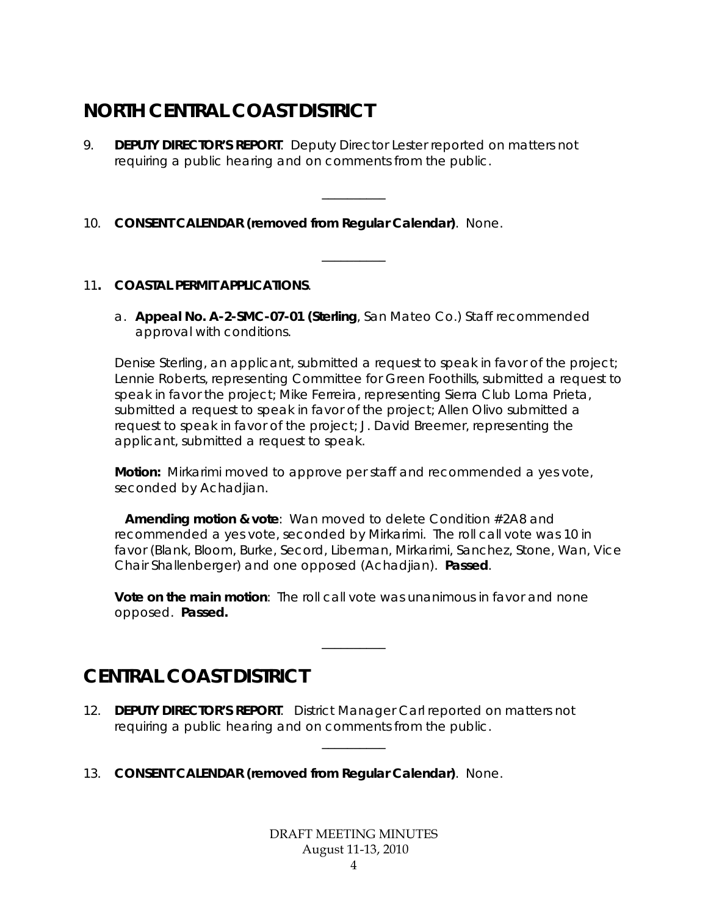# **NORTH CENTRAL COAST DISTRICT**

- 9. **DEPUTY DIRECTOR'S REPORT**. Deputy Director Lester reported on matters not requiring a public hearing and on comments from the public.
- 10. **CONSENT CALENDAR (removed from Regular Calendar)**. None.

# 11**. COASTAL PERMIT APPLICATIONS**.

a. **Appeal No. A-2-SMC-07-01 (Sterling**, San Mateo Co.) Staff recommended approval with conditions.

\_\_\_\_\_\_\_\_\_\_

\_\_\_\_\_\_\_\_\_\_

Denise Sterling, an applicant, submitted a request to speak in favor of the project; Lennie Roberts, representing Committee for Green Foothills, submitted a request to speak in favor the project; Mike Ferreira, representing Sierra Club Loma Prieta, submitted a request to speak in favor of the project; Allen Olivo submitted a request to speak in favor of the project; J. David Breemer, representing the applicant, submitted a request to speak.

**Motion:** Mirkarimi moved to approve per staff and recommended a yes vote, seconded by Achadjian.

**Amending motion & vote**: Wan moved to delete Condition #2A8 and recommended a yes vote, seconded by Mirkarimi. The roll call vote was 10 in favor (Blank, Bloom, Burke, Secord, Liberman, Mirkarimi, Sanchez, Stone, Wan, Vice Chair Shallenberger) and one opposed (Achadjian). **Passed**.

**Vote on the main motion**: The roll call vote was unanimous in favor and none opposed. **Passed.**

\_\_\_\_\_\_\_\_\_\_

\_\_\_\_\_\_\_\_\_\_

# **CENTRAL COAST DISTRICT**

- 12. **DEPUTY DIRECTOR'S REPORT**. District Manager Carl reported on matters not requiring a public hearing and on comments from the public.
- 13. **CONSENT CALENDAR (removed from Regular Calendar)**. None.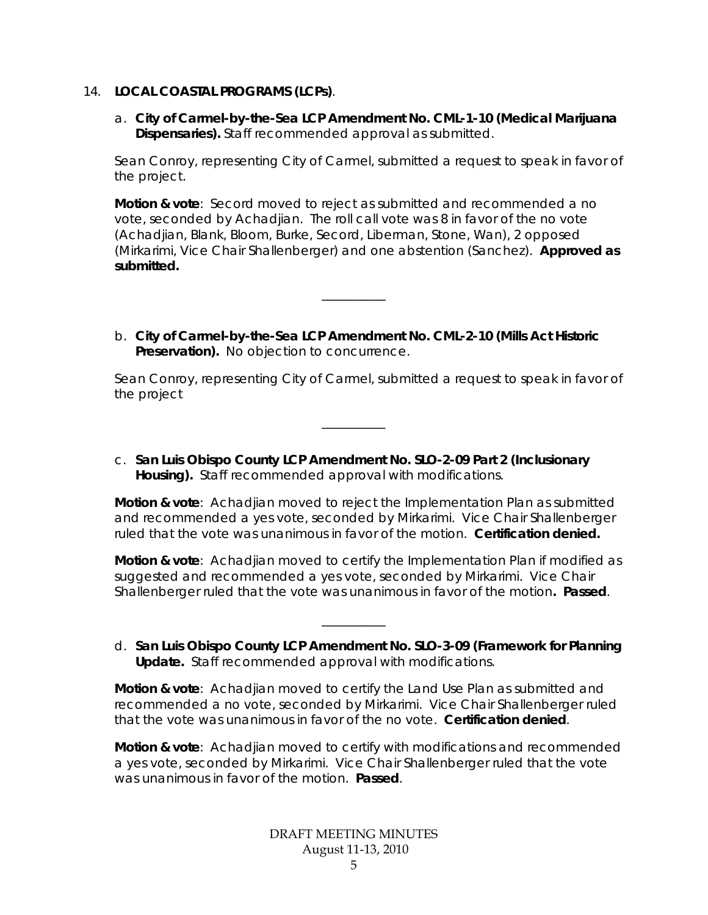#### 14. **LOCAL COASTAL PROGRAMS (LCPs)**.

a. **City of Carmel-by-the-Sea LCP Amendment No. CML-1-10 (Medical Marijuana Dispensaries).** Staff recommended approval as submitted.

Sean Conroy, representing City of Carmel, submitted a request to speak in favor of the project.

**Motion & vote**: Secord moved to reject as submitted and recommended a no vote, seconded by Achadjian. The roll call vote was 8 in favor of the no vote (Achadjian, Blank, Bloom, Burke, Secord, Liberman, Stone, Wan), 2 opposed (Mirkarimi, Vice Chair Shallenberger) and one abstention (Sanchez). **Approved as submitted.** 

b. **City of Carmel-by-the-Sea LCP Amendment No. CML-2-10 (Mills Act Historic Preservation).** No objection to concurrence.

\_\_\_\_\_\_\_\_\_\_

Sean Conroy, representing City of Carmel, submitted a request to speak in favor of the project

c. **San Luis Obispo County LCP Amendment No. SLO-2-09 Part 2 (Inclusionary Housing).** Staff recommended approval with modifications.

\_\_\_\_\_\_\_\_\_\_

**Motion & vote**: Achadjian moved to reject the Implementation Plan as submitted and recommended a yes vote, seconded by Mirkarimi. Vice Chair Shallenberger ruled that the vote was unanimous in favor of the motion. **Certification denied.** 

**Motion & vote**: Achadjian moved to certify the Implementation Plan if modified as suggested and recommended a yes vote, seconded by Mirkarimi. Vice Chair Shallenberger ruled that the vote was unanimous in favor of the motion**. Passed**.

d. **San Luis Obispo County LCP Amendment No. SLO-3-09 (Framework for Planning Update.** Staff recommended approval with modifications.

\_\_\_\_\_\_\_\_\_\_

**Motion & vote**: Achadjian moved to certify the Land Use Plan as submitted and recommended a no vote, seconded by Mirkarimi. Vice Chair Shallenberger ruled that the vote was unanimous in favor of the no vote. **Certification denied**.

**Motion & vote**: Achadjian moved to certify with modifications and recommended a yes vote, seconded by Mirkarimi. Vice Chair Shallenberger ruled that the vote was unanimous in favor of the motion. **Passed**.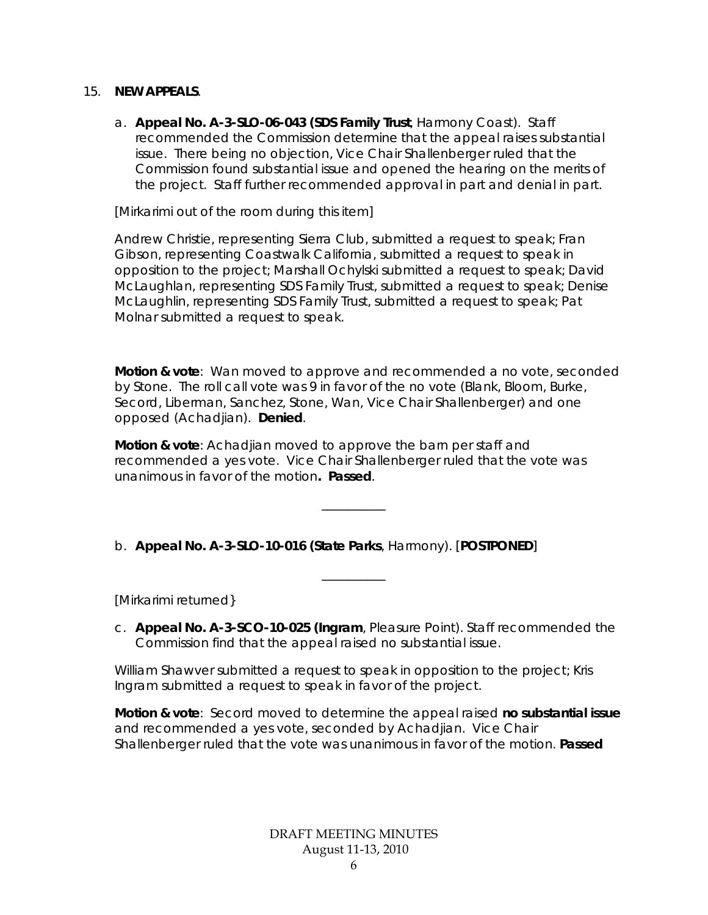#### 15. **NEW APPEALS**.

a. **Appeal No. A-3-SLO-06-043 (SDS Family Trust**, Harmony Coast). Staff recommended the Commission determine that the appeal raises substantial issue. There being no objection, Vice Chair Shallenberger ruled that the Commission found substantial issue and opened the hearing on the merits of the project. Staff further recommended approval in part and denial in part.

[Mirkarimi out of the room during this item]

Andrew Christie, representing Sierra Club, submitted a request to speak; Fran Gibson, representing Coastwalk California, submitted a request to speak in opposition to the project; Marshall Ochylski submitted a request to speak; David McLaughlan, representing SDS Family Trust, submitted a request to speak; Denise McLaughlin, representing SDS Family Trust, submitted a request to speak; Pat Molnar submitted a request to speak.

**Motion & vote**: Wan moved to approve and recommended a no vote, seconded by Stone. The roll call vote was 9 in favor of the no vote (Blank, Bloom, Burke, Secord, Liberman, Sanchez, Stone, Wan, Vice Chair Shallenberger) and one opposed (Achadjian). **Denied**.

**Motion & vote**: Achadjian moved to approve the barn per staff and recommended a yes vote. Vice Chair Shallenberger ruled that the vote was unanimous in favor of the motion**. Passed**.

\_\_\_\_\_\_\_\_\_\_

\_\_\_\_\_\_\_\_\_\_

# b. **Appeal No. A-3-SLO-10-016 (State Parks**, Harmony). [**POSTPONED**]

[Mirkarimi returned}

c. **Appeal No. A-3-SCO-10-025 (Ingram**, Pleasure Point). Staff recommended the Commission find that the appeal raised no substantial issue.

William Shawver submitted a request to speak in opposition to the project; Kris Ingram submitted a request to speak in favor of the project.

**Motion & vote**: Secord moved to determine the appeal raised **no substantial issue** and recommended a yes vote, seconded by Achadjian. Vice Chair Shallenberger ruled that the vote was unanimous in favor of the motion. **Passed**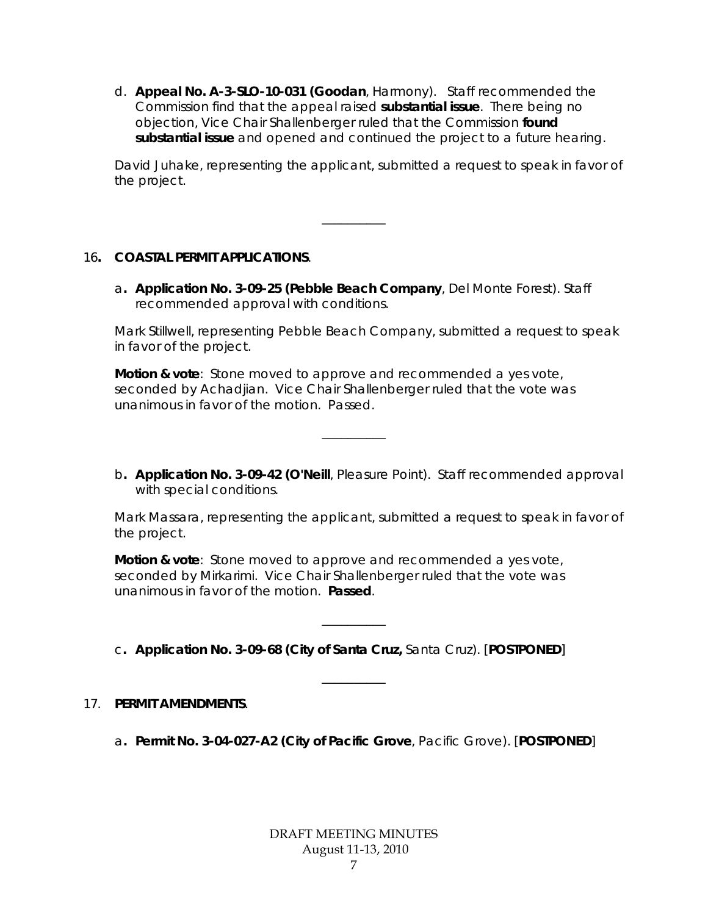d. **Appeal No. A-3-SLO-10-031 (Goodan**, Harmony). Staff recommended the Commission find that the appeal raised **substantial issue**. There being no objection, Vice Chair Shallenberger ruled that the Commission **found substantial issue** and opened and continued the project to a future hearing.

David Juhake, representing the applicant, submitted a request to speak in favor of the project.

# 16**. COASTAL PERMIT APPLICATIONS**.

a**. Application No. 3-09-25 (Pebble Beach Company**, Del Monte Forest). Staff recommended approval with conditions.

\_\_\_\_\_\_\_\_\_\_

Mark Stillwell, representing Pebble Beach Company, submitted a request to speak in favor of the project.

**Motion & vote**: Stone moved to approve and recommended a yes vote, seconded by Achadjian. Vice Chair Shallenberger ruled that the vote was unanimous in favor of the motion. Passed.

 $\overline{\phantom{a}}$ 

b**. Application No. 3-09-42 (O'Neill**, Pleasure Point). Staff recommended approval with special conditions.

Mark Massara, representing the applicant, submitted a request to speak in favor of the project.

**Motion & vote**: Stone moved to approve and recommended a yes vote, seconded by Mirkarimi. Vice Chair Shallenberger ruled that the vote was unanimous in favor of the motion. **Passed**.

c**. Application No. 3-09-68 (City of Santa Cruz,** Santa Cruz). [**POSTPONED**]

 $\overline{\phantom{a}}$ 

\_\_\_\_\_\_\_\_\_\_

#### 17. **PERMIT AMENDMENTS**.

a**. Permit No. 3-04-027-A2 (City of Pacific Grove**, Pacific Grove). [**POSTPONED**]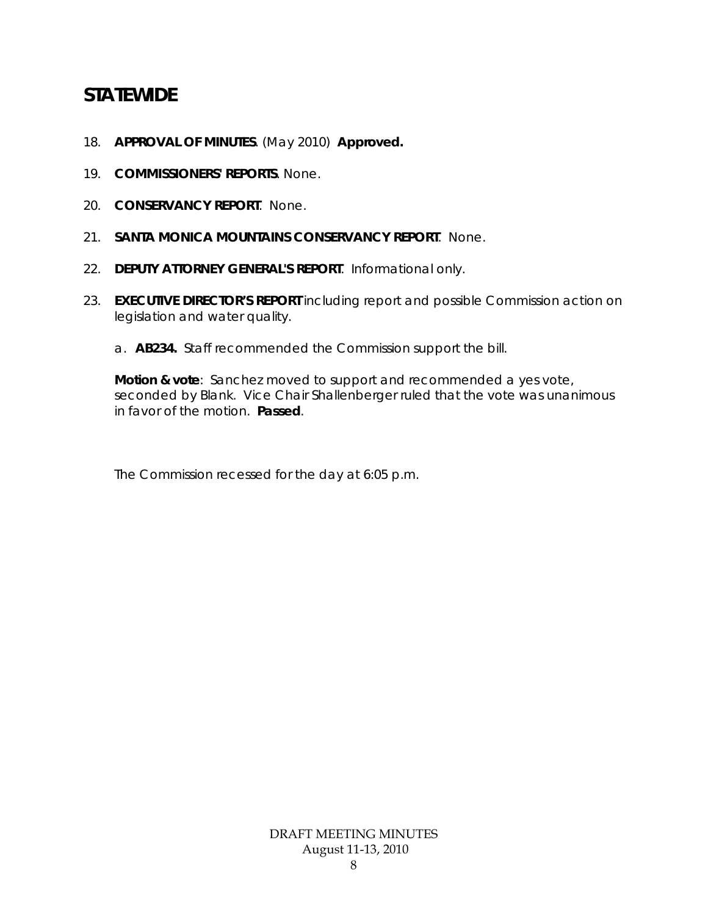# **STATEWIDE**

- 18. **APPROVAL OF MINUTES**. (May 2010) **Approved.**
- 19. **COMMISSIONERS' REPORTS**. None.
- 20. **CONSERVANCY REPORT**. None.
- 21. **SANTA MONICA MOUNTAINS CONSERVANCY REPORT**. None.
- 22. **DEPUTY ATTORNEY GENERAL'S REPORT**. Informational only.
- 23. **EXECUTIVE DIRECTOR'S REPORT** *including* report and possible Commission action on legislation and water quality.
	- a. **AB234.** Staff recommended the Commission support the bill.

**Motion & vote**: Sanchez moved to support and recommended a yes vote, seconded by Blank. Vice Chair Shallenberger ruled that the vote was unanimous in favor of the motion. **Passed**.

The Commission recessed for the day at 6:05 p.m.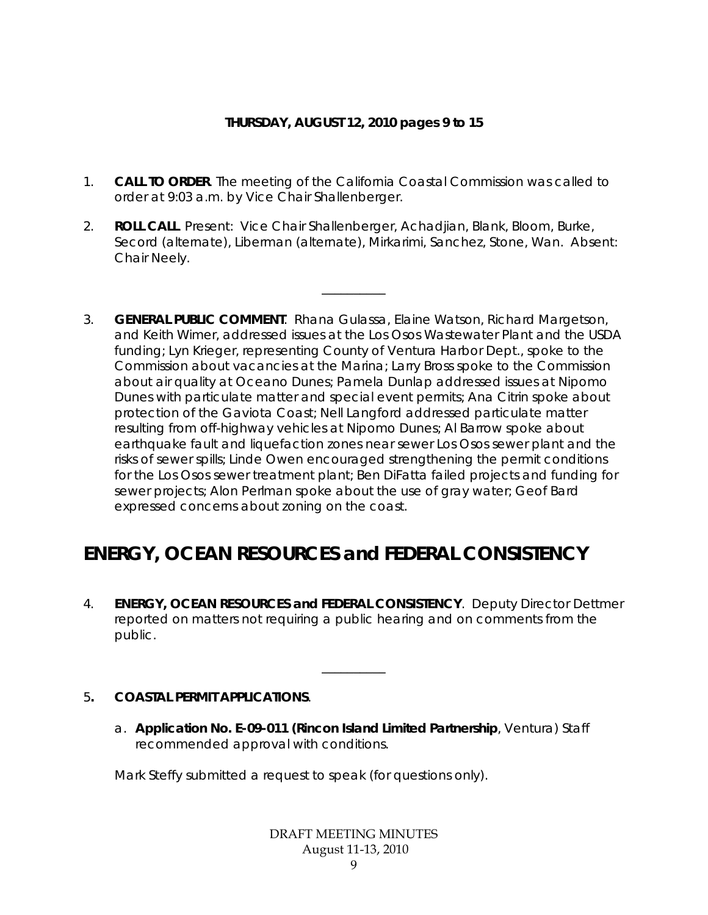### **THURSDAY, AUGUST 12, 2010 pages 9 to 15**

- 1. **CALL TO ORDER**. The meeting of the California Coastal Commission was called to order at 9:03 a.m. by Vice Chair Shallenberger.
- 2. **ROLL CALL**. Present: Vice Chair Shallenberger, Achadjian, Blank, Bloom, Burke, Secord (alternate), Liberman (alternate), Mirkarimi, Sanchez, Stone, Wan. Absent: Chair Neely.

\_\_\_\_\_\_\_\_\_\_

3. **GENERAL PUBLIC COMMENT**. Rhana Gulassa, Elaine Watson, Richard Margetson, and Keith Wimer, addressed issues at the Los Osos Wastewater Plant and the USDA funding; Lyn Krieger, representing County of Ventura Harbor Dept., spoke to the Commission about vacancies at the Marina; Larry Bross spoke to the Commission about air quality at Oceano Dunes; Pamela Dunlap addressed issues at Nipomo Dunes with particulate matter and special event permits; Ana Citrin spoke about protection of the Gaviota Coast; Nell Langford addressed particulate matter resulting from off-highway vehicles at Nipomo Dunes; Al Barrow spoke about earthquake fault and liquefaction zones near sewer Los Osos sewer plant and the risks of sewer spills; Linde Owen encouraged strengthening the permit conditions for the Los Osos sewer treatment plant; Ben DiFatta failed projects and funding for sewer projects; Alon Perlman spoke about the use of gray water; Geof Bard expressed concerns about zoning on the coast.

# **ENERGY, OCEAN RESOURCES and FEDERAL CONSISTENCY**

4. **ENERGY, OCEAN RESOURCES and FEDERAL CONSISTENCY**. Deputy Director Dettmer reported on matters not requiring a public hearing and on comments from the public.

\_\_\_\_\_\_\_\_\_\_

# 5**. COASTAL PERMIT APPLICATIONS**.

a. **Application No. E-09-011 (Rincon Island Limited Partnership**, Ventura) Staff recommended approval with conditions.

Mark Steffy submitted a request to speak (for questions only).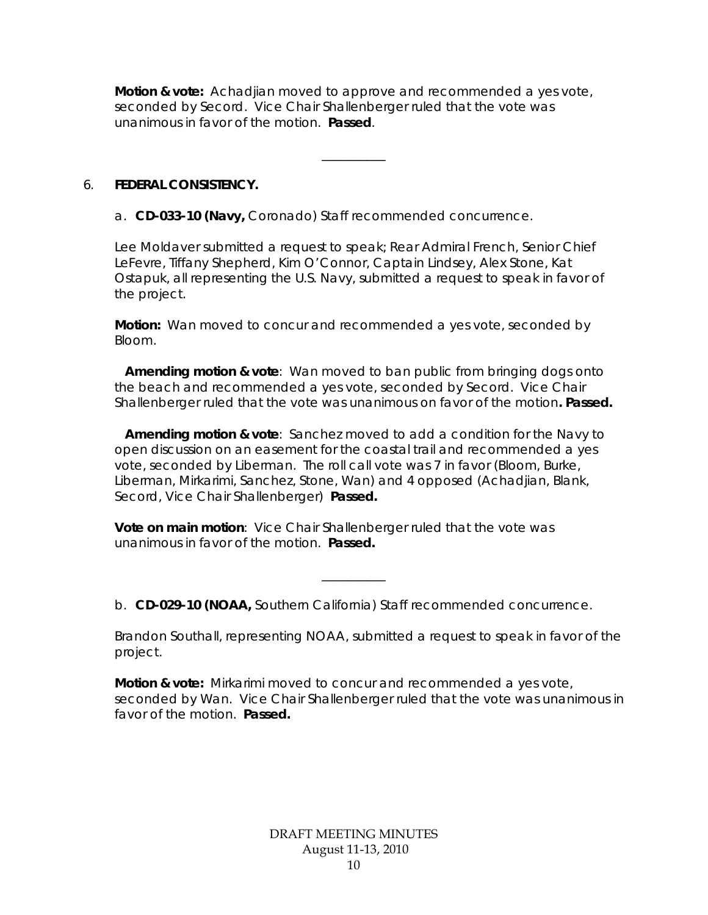**Motion & vote:** Achadjian moved to approve and recommended a yes vote, seconded by Secord. Vice Chair Shallenberger ruled that the vote was unanimous in favor of the motion. **Passed**.

\_\_\_\_\_\_\_\_\_\_

# 6. **FEDERAL CONSISTENCY.**

a. **CD-033-10 (Navy,** Coronado) Staff recommended concurrence.

Lee Moldaver submitted a request to speak; Rear Admiral French, Senior Chief LeFevre, Tiffany Shepherd, Kim O'Connor, Captain Lindsey, Alex Stone, Kat Ostapuk, all representing the U.S. Navy, submitted a request to speak in favor of the project.

**Motion:** Wan moved to concur and recommended a yes vote, seconded by Bloom.

**Amending motion & vote**: Wan moved to ban public from bringing dogs onto the beach and recommended a yes vote, seconded by Secord. Vice Chair Shallenberger ruled that the vote was unanimous on favor of the motion**. Passed.**

**Amending motion & vote**: Sanchez moved to add a condition for the Navy to open discussion on an easement for the coastal trail and recommended a yes vote, seconded by Liberman. The roll call vote was 7 in favor (Bloom, Burke, Liberman, Mirkarimi, Sanchez, Stone, Wan) and 4 opposed (Achadjian, Blank, Secord, Vice Chair Shallenberger) **Passed.**

**Vote on main motion**: Vice Chair Shallenberger ruled that the vote was unanimous in favor of the motion. **Passed.** 

b. **CD-029-10 (NOAA,** Southern California) Staff recommended concurrence.

\_\_\_\_\_\_\_\_\_\_

Brandon Southall, representing NOAA, submitted a request to speak in favor of the project.

**Motion & vote:** Mirkarimi moved to concur and recommended a yes vote, seconded by Wan. Vice Chair Shallenberger ruled that the vote was unanimous in favor of the motion. **Passed.**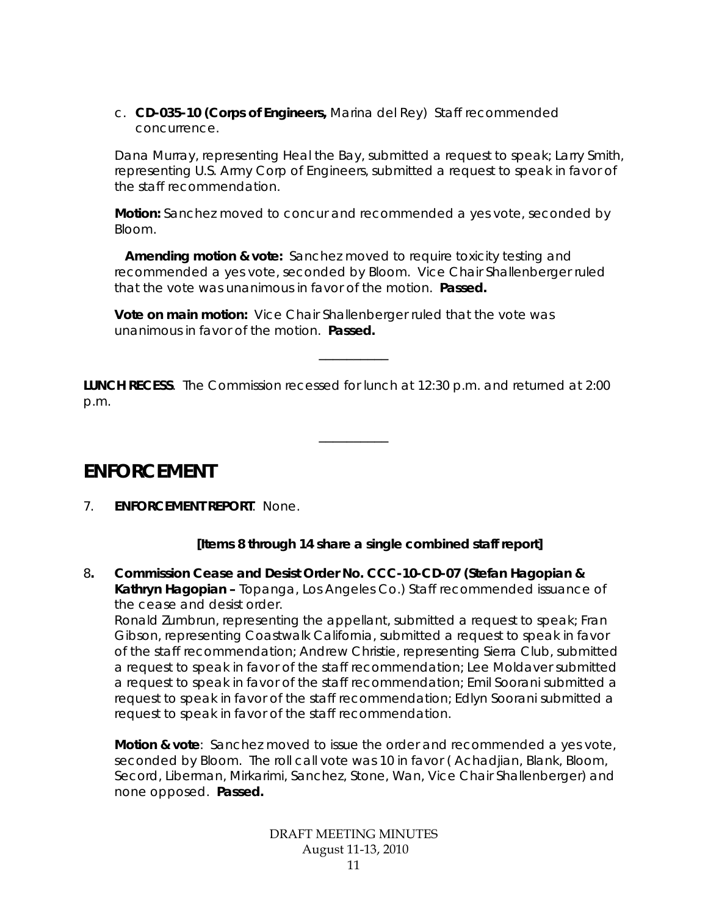c. **CD-035-10 (Corps of Engineers,** Marina del Rey) Staff recommended concurrence.

Dana Murray, representing Heal the Bay, submitted a request to speak; Larry Smith, representing U.S. Army Corp of Engineers, submitted a request to speak in favor of the staff recommendation.

**Motion:** Sanchez moved to concur and recommended a yes vote, seconded by Bloom.

 **Amending motion & vote:** Sanchez moved to require toxicity testing and recommended a yes vote, seconded by Bloom. Vice Chair Shallenberger ruled that the vote was unanimous in favor of the motion. **Passed.** 

**Vote on main motion:** Vice Chair Shallenberger ruled that the vote was unanimous in favor of the motion. **Passed.** 

**LUNCH RECESS**. The Commission recessed for lunch at 12:30 p.m. and returned at 2:00 p.m.

 $\overline{\phantom{a}}$   $\overline{\phantom{a}}$   $\overline{\phantom{a}}$   $\overline{\phantom{a}}$   $\overline{\phantom{a}}$   $\overline{\phantom{a}}$   $\overline{\phantom{a}}$   $\overline{\phantom{a}}$   $\overline{\phantom{a}}$   $\overline{\phantom{a}}$   $\overline{\phantom{a}}$   $\overline{\phantom{a}}$   $\overline{\phantom{a}}$   $\overline{\phantom{a}}$   $\overline{\phantom{a}}$   $\overline{\phantom{a}}$   $\overline{\phantom{a}}$   $\overline{\phantom{a}}$   $\overline{\$ 

 $\overline{\phantom{a}}$   $\overline{\phantom{a}}$   $\overline{\phantom{a}}$   $\overline{\phantom{a}}$   $\overline{\phantom{a}}$   $\overline{\phantom{a}}$   $\overline{\phantom{a}}$   $\overline{\phantom{a}}$   $\overline{\phantom{a}}$   $\overline{\phantom{a}}$   $\overline{\phantom{a}}$   $\overline{\phantom{a}}$   $\overline{\phantom{a}}$   $\overline{\phantom{a}}$   $\overline{\phantom{a}}$   $\overline{\phantom{a}}$   $\overline{\phantom{a}}$   $\overline{\phantom{a}}$   $\overline{\$ 

# **ENFORCEMENT**

7. **ENFORCEMENT REPORT**. None.

# **[Items 8 through 14 share a single combined staff report]**

8**. Commission Cease and Desist Order No. CCC-10-CD-07 (Stefan Hagopian & Kathryn Hagopian –** Topanga, Los Angeles Co.) Staff recommended issuance of the cease and desist order.

Ronald Zumbrun, representing the appellant, submitted a request to speak; Fran Gibson, representing Coastwalk California, submitted a request to speak in favor of the staff recommendation; Andrew Christie, representing Sierra Club, submitted a request to speak in favor of the staff recommendation; Lee Moldaver submitted a request to speak in favor of the staff recommendation; Emil Soorani submitted a request to speak in favor of the staff recommendation; Edlyn Soorani submitted a request to speak in favor of the staff recommendation.

**Motion & vote**: Sanchez moved to issue the order and recommended a yes vote, seconded by Bloom. The roll call vote was 10 in favor ( Achadjian, Blank, Bloom, Secord, Liberman, Mirkarimi, Sanchez, Stone, Wan, Vice Chair Shallenberger) and none opposed. **Passed.**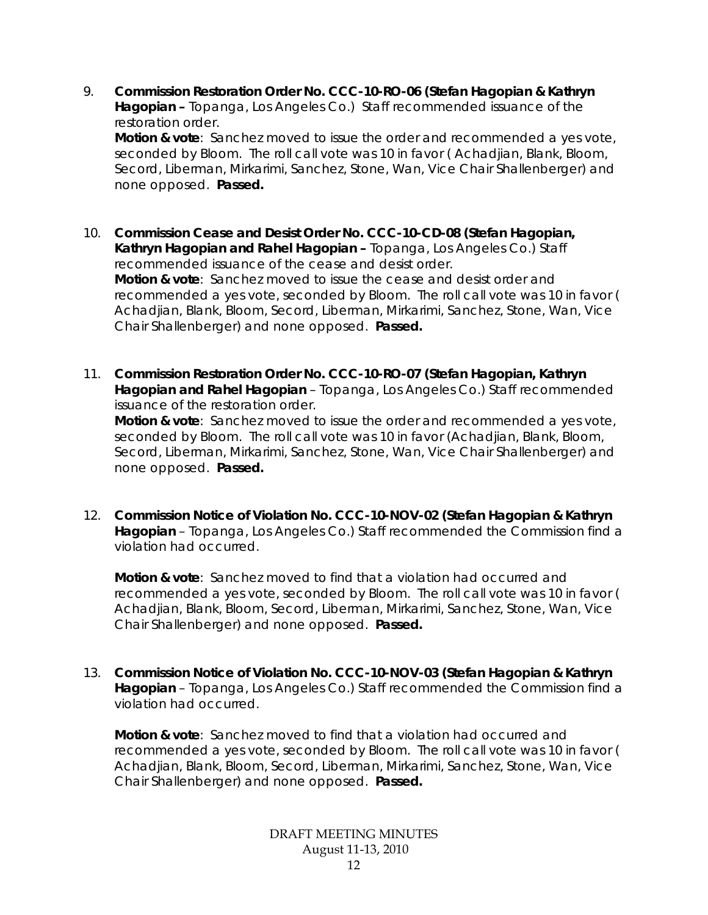9. **Commission Restoration Order No. CCC-10-RO-06 (Stefan Hagopian & Kathryn Hagopian –** Topanga, Los Angeles Co.) Staff recommended issuance of the restoration order. **Motion & vote**: Sanchez moved to issue the order and recommended a yes vote,

seconded by Bloom. The roll call vote was 10 in favor ( Achadjian, Blank, Bloom, Secord, Liberman, Mirkarimi, Sanchez, Stone, Wan, Vice Chair Shallenberger) and none opposed. **Passed.**

- 10. **Commission Cease and Desist Order No. CCC-10-CD-08 (Stefan Hagopian, Kathryn Hagopian and Rahel Hagopian –** Topanga, Los Angeles Co.) Staff recommended issuance of the cease and desist order. **Motion & vote**: Sanchez moved to issue the cease and desist order and recommended a yes vote, seconded by Bloom. The roll call vote was 10 in favor ( Achadjian, Blank, Bloom, Secord, Liberman, Mirkarimi, Sanchez, Stone, Wan, Vice Chair Shallenberger) and none opposed. **Passed.**
- 11. **Commission Restoration Order No. CCC-10-RO-07 (Stefan Hagopian, Kathryn Hagopian and Rahel Hagopian** – Topanga, Los Angeles Co.) Staff recommended issuance of the restoration order. **Motion & vote**: Sanchez moved to issue the order and recommended a yes vote, seconded by Bloom. The roll call vote was 10 in favor (Achadjian, Blank, Bloom, Secord, Liberman, Mirkarimi, Sanchez, Stone, Wan, Vice Chair Shallenberger) and none opposed. **Passed.**
- 12. **Commission Notice of Violation No. CCC-10-NOV-02 (Stefan Hagopian & Kathryn Hagopian** – Topanga, Los Angeles Co.) Staff recommended the Commission find a violation had occurred.

**Motion & vote**: Sanchez moved to find that a violation had occurred and recommended a yes vote, seconded by Bloom. The roll call vote was 10 in favor ( Achadjian, Blank, Bloom, Secord, Liberman, Mirkarimi, Sanchez, Stone, Wan, Vice Chair Shallenberger) and none opposed. **Passed.**

13. **Commission Notice of Violation No. CCC-10-NOV-03 (Stefan Hagopian & Kathryn Hagopian** – Topanga, Los Angeles Co.) Staff recommended the Commission find a violation had occurred.

**Motion & vote**: Sanchez moved to find that a violation had occurred and recommended a yes vote, seconded by Bloom. The roll call vote was 10 in favor ( Achadjian, Blank, Bloom, Secord, Liberman, Mirkarimi, Sanchez, Stone, Wan, Vice Chair Shallenberger) and none opposed. **Passed.**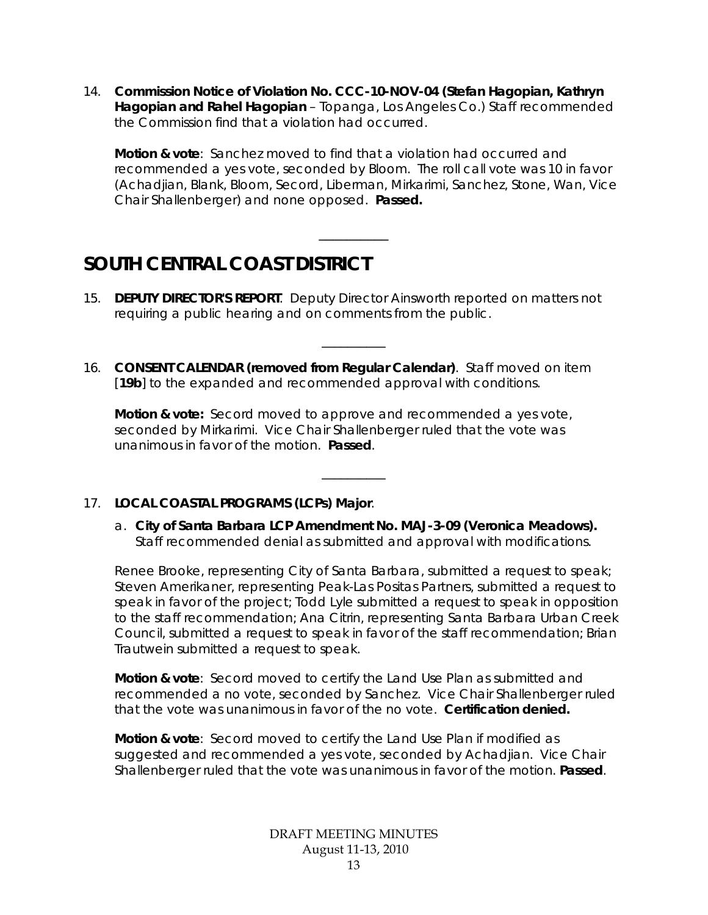14. **Commission Notice of Violation No. CCC-10-NOV-04 (Stefan Hagopian, Kathryn Hagopian and Rahel Hagopian** – Topanga, Los Angeles Co.) Staff recommended the Commission find that a violation had occurred.

**Motion & vote**: Sanchez moved to find that a violation had occurred and recommended a yes vote, seconded by Bloom. The roll call vote was 10 in favor (Achadjian, Blank, Bloom, Secord, Liberman, Mirkarimi, Sanchez, Stone, Wan, Vice Chair Shallenberger) and none opposed. **Passed.**

 $\overline{\phantom{a}}$   $\overline{\phantom{a}}$   $\overline{\phantom{a}}$   $\overline{\phantom{a}}$   $\overline{\phantom{a}}$   $\overline{\phantom{a}}$   $\overline{\phantom{a}}$   $\overline{\phantom{a}}$   $\overline{\phantom{a}}$   $\overline{\phantom{a}}$   $\overline{\phantom{a}}$   $\overline{\phantom{a}}$   $\overline{\phantom{a}}$   $\overline{\phantom{a}}$   $\overline{\phantom{a}}$   $\overline{\phantom{a}}$   $\overline{\phantom{a}}$   $\overline{\phantom{a}}$   $\overline{\$ 

# **SOUTH CENTRAL COAST DISTRICT**

15. **DEPUTY DIRECTOR'S REPORT**. Deputy Director Ainsworth reported on matters not requiring a public hearing and on comments from the public.

\_\_\_\_\_\_\_\_\_\_

16. **CONSENT CALENDAR (removed from Regular Calendar)**. Staff moved on item [19b] to the expanded and recommended approval with conditions.

**Motion & vote:** Secord moved to approve and recommended a yes vote, seconded by Mirkarimi. Vice Chair Shallenberger ruled that the vote was unanimous in favor of the motion. **Passed**.

# 17. **LOCAL COASTAL PROGRAMS (LCPs) Major**.

a. **City of Santa Barbara LCP Amendment No. MAJ-3-09 (Veronica Meadows).** Staff recommended denial as submitted and approval with modifications.

\_\_\_\_\_\_\_\_\_\_

Renee Brooke, representing City of Santa Barbara, submitted a request to speak; Steven Amerikaner, representing Peak-Las Positas Partners, submitted a request to speak in favor of the project; Todd Lyle submitted a request to speak in opposition to the staff recommendation; Ana Citrin, representing Santa Barbara Urban Creek Council, submitted a request to speak in favor of the staff recommendation; Brian Trautwein submitted a request to speak.

**Motion & vote**: Secord moved to certify the Land Use Plan as submitted and recommended a no vote, seconded by Sanchez. Vice Chair Shallenberger ruled that the vote was unanimous in favor of the no vote. **Certification denied.** 

**Motion & vote**: Secord moved to certify the Land Use Plan if modified as suggested and recommended a yes vote, seconded by Achadjian. Vice Chair Shallenberger ruled that the vote was unanimous in favor of the motion. **Passed**.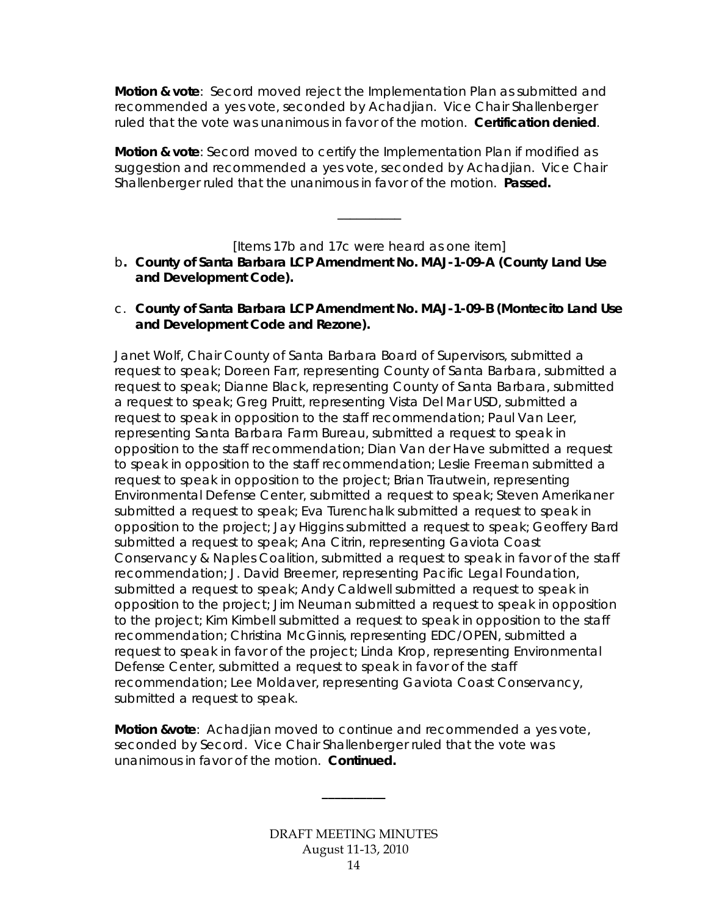**Motion & vote**: Secord moved reject the Implementation Plan as submitted and recommended a yes vote, seconded by Achadjian. Vice Chair Shallenberger ruled that the vote was unanimous in favor of the motion. **Certification denied**.

**Motion & vote**: Secord moved to certify the Implementation Plan if modified as suggestion and recommended a yes vote, seconded by Achadjian. Vice Chair Shallenberger ruled that the unanimous in favor of the motion. **Passed.** 

[Items 17b and 17c were heard as one item]

\_\_\_\_\_\_\_\_\_\_

- b**. County of Santa Barbara LCP Amendment No. MAJ-1-09-A (County Land Use and Development Code).**
- c. **County of Santa Barbara LCP Amendment No. MAJ-1-09-B (Montecito Land Use and Development Code and Rezone).**

Janet Wolf, Chair County of Santa Barbara Board of Supervisors, submitted a request to speak; Doreen Farr, representing County of Santa Barbara, submitted a request to speak; Dianne Black, representing County of Santa Barbara, submitted a request to speak; Greg Pruitt, representing Vista Del Mar USD, submitted a request to speak in opposition to the staff recommendation; Paul Van Leer, representing Santa Barbara Farm Bureau, submitted a request to speak in opposition to the staff recommendation; Dian Van der Have submitted a request to speak in opposition to the staff recommendation; Leslie Freeman submitted a request to speak in opposition to the project; Brian Trautwein, representing Environmental Defense Center, submitted a request to speak; Steven Amerikaner submitted a request to speak; Eva Turenchalk submitted a request to speak in opposition to the project; Jay Higgins submitted a request to speak; Geoffery Bard submitted a request to speak; Ana Citrin, representing Gaviota Coast Conservancy & Naples Coalition, submitted a request to speak in favor of the staff recommendation; J. David Breemer, representing Pacific Legal Foundation, submitted a request to speak; Andy Caldwell submitted a request to speak in opposition to the project; Jim Neuman submitted a request to speak in opposition to the project; Kim Kimbell submitted a request to speak in opposition to the staff recommendation; Christina McGinnis, representing EDC/OPEN, submitted a request to speak in favor of the project; Linda Krop, representing Environmental Defense Center, submitted a request to speak in favor of the staff recommendation; Lee Moldaver, representing Gaviota Coast Conservancy, submitted a request to speak.

**Motion &vote**: Achadjian moved to continue and recommended a yes vote, seconded by Secord. Vice Chair Shallenberger ruled that the vote was unanimous in favor of the motion. **Continued.** 

**\_\_\_\_\_\_\_\_\_\_**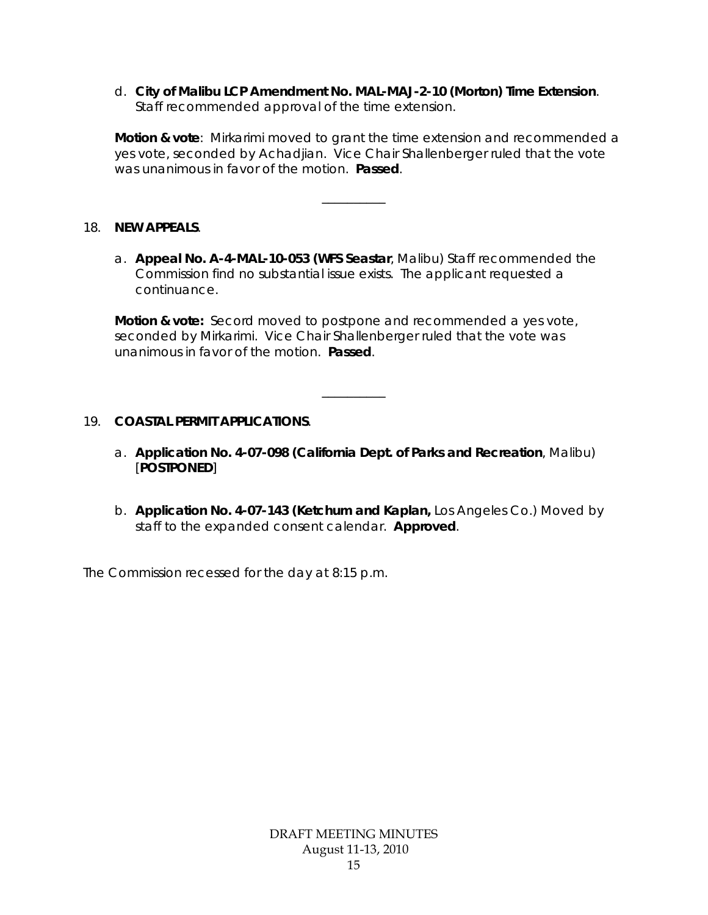d. **[City of Malibu LCP Amendment No. MAL-MAJ-2-10 \(Morton\) Time Extension](http://documents.coastal.ca.gov/reports/2008/12/Th9a-12-2008.pdf)**. Staff recommended approval of the time extension.

**Motion & vote**: Mirkarimi moved to grant the time extension and recommended a yes vote, seconded by Achadjian. Vice Chair Shallenberger ruled that the vote was unanimous in favor of the motion. **Passed**.

\_\_\_\_\_\_\_\_\_\_

#### 18. **NEW APPEALS**.

a. **Appeal No. A-4-MAL-10-053 (WFS Seastar**, Malibu) Staff recommended the Commission find no substantial issue exists. The applicant requested a continuance.

**Motion & vote:** Secord moved to postpone and recommended a yes vote, seconded by Mirkarimi. Vice Chair Shallenberger ruled that the vote was unanimous in favor of the motion. **Passed**.

# 19. **COASTAL PERMIT APPLICATIONS**.

a. **Application No. 4-07-098 (California Dept. of Parks and Recreation**, Malibu) [**POSTPONED**]

\_\_\_\_\_\_\_\_\_\_

b. **Application No. 4-07-143 (Ketchum and Kaplan,** Los Angeles Co.) Moved by staff to the expanded consent calendar. **Approved**.

The Commission recessed for the day at 8:15 p.m.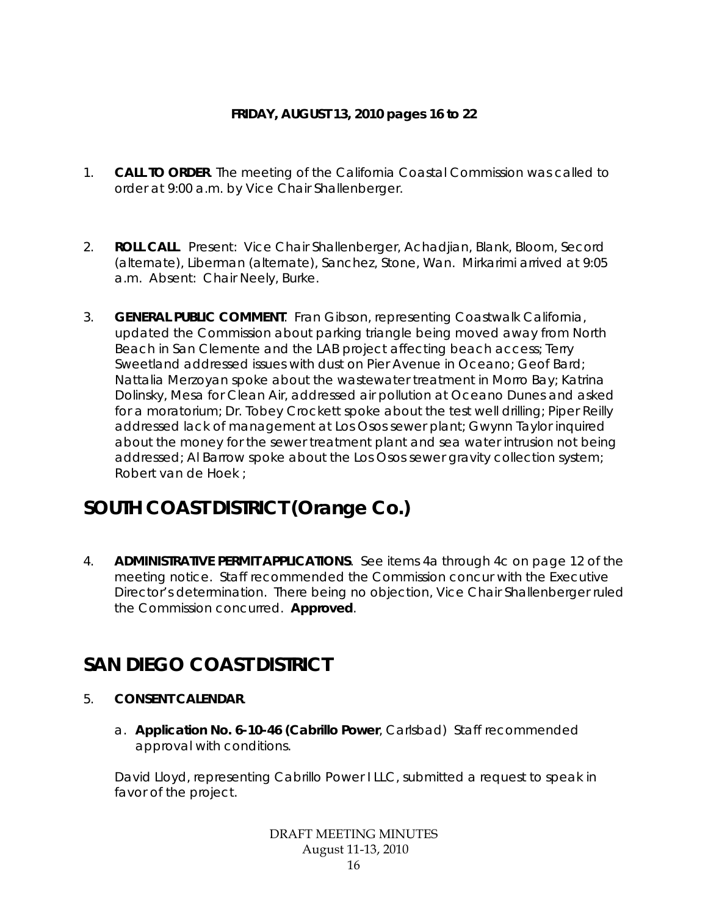# **FRIDAY, AUGUST 13, 2010 pages 16 to 22**

- 1. **CALL TO ORDER**. The meeting of the California Coastal Commission was called to order at 9:00 a.m. by Vice Chair Shallenberger.
- 2. **ROLL CALL**. Present: Vice Chair Shallenberger, Achadjian, Blank, Bloom, Secord (alternate), Liberman (alternate), Sanchez, Stone, Wan. Mirkarimi arrived at 9:05 a.m. Absent: Chair Neely, Burke.
- 3. **GENERAL PUBLIC COMMENT**. Fran Gibson, representing Coastwalk California, updated the Commission about parking triangle being moved away from North Beach in San Clemente and the LAB project affecting beach access; Terry Sweetland addressed issues with dust on Pier Avenue in Oceano; Geof Bard; Nattalia Merzoyan spoke about the wastewater treatment in Morro Bay; Katrina Dolinsky, Mesa for Clean Air, addressed air pollution at Oceano Dunes and asked for a moratorium; Dr. Tobey Crockett spoke about the test well drilling; Piper Reilly addressed lack of management at Los Osos sewer plant; Gwynn Taylor inquired about the money for the sewer treatment plant and sea water intrusion not being addressed; Al Barrow spoke about the Los Osos sewer gravity collection system; Robert van de Hoek ;

# **SOUTH COAST DISTRICT (Orange Co.)**

4. **ADMINISTRATIVE PERMIT APPLICATIONS**. See items 4a through 4c on page 12 of the meeting notice. Staff recommended the Commission concur with the Executive Director's determination. There being no objection, Vice Chair Shallenberger ruled the Commission concurred. **Approved**.

# **SAN DIEGO COAST DISTRICT**

- 5. **CONSENT CALENDAR**.
	- a. **Application No. 6-10-46 (Cabrillo Power**, Carlsbad) Staff recommended approval with conditions.

David Lloyd, representing Cabrillo Power I LLC, submitted a request to speak in favor of the project.

> DRAFT MEETING MINUTES August 11-13, 2010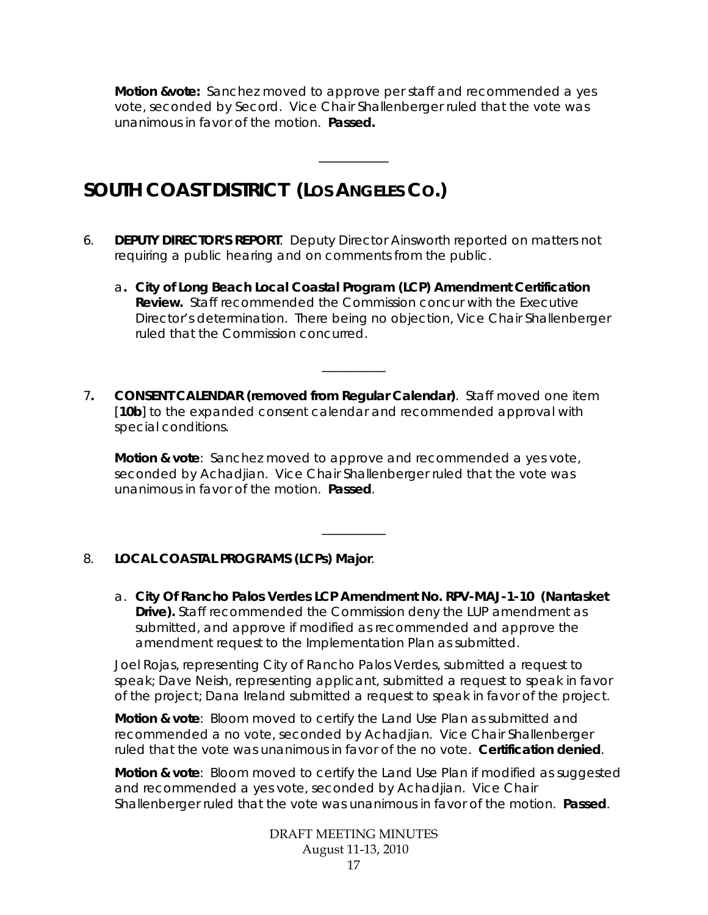**Motion &vote:** Sanchez moved to approve per staff and recommended a yes vote, seconded by Secord. Vice Chair Shallenberger ruled that the vote was unanimous in favor of the motion. **Passed.** 

 $\overline{\phantom{a}}$   $\overline{\phantom{a}}$   $\overline{\phantom{a}}$   $\overline{\phantom{a}}$   $\overline{\phantom{a}}$   $\overline{\phantom{a}}$   $\overline{\phantom{a}}$   $\overline{\phantom{a}}$   $\overline{\phantom{a}}$   $\overline{\phantom{a}}$   $\overline{\phantom{a}}$   $\overline{\phantom{a}}$   $\overline{\phantom{a}}$   $\overline{\phantom{a}}$   $\overline{\phantom{a}}$   $\overline{\phantom{a}}$   $\overline{\phantom{a}}$   $\overline{\phantom{a}}$   $\overline{\$ 

# **SOUTH COAST DISTRICT (LOS ANGELES CO.)**

- 6. **DEPUTY DIRECTOR'S REPORT**. Deputy Director Ainsworth reported on matters not requiring a public hearing and on comments from the public.
	- a**. City of Long Beach Local Coastal Program (LCP) Amendment Certification Review.** Staff recommended the Commission concur with the Executive Director's determination. There being no objection, Vice Chair Shallenberger ruled that the Commission concurred.

\_\_\_\_\_\_\_\_\_\_

7**. CONSENT CALENDAR (removed from Regular Calendar)**. Staff moved one item [10b] to the expanded consent calendar and recommended approval with special conditions.

**Motion & vote**: Sanchez moved to approve and recommended a yes vote, seconded by Achadjian. Vice Chair Shallenberger ruled that the vote was unanimous in favor of the motion. **Passed**.

\_\_\_\_\_\_\_\_\_\_

# 8. **LOCAL COASTAL PROGRAMS (LCPs) Major**.

a. **City Of Rancho Palos Verdes LCP Amendment No. RPV-MAJ-1-10 (Nantasket Drive).** Staff recommended the Commission deny the LUP amendment as submitted, and approve if modified as recommended and approve the amendment request to the Implementation Plan as submitted.

Joel Rojas, representing City of Rancho Palos Verdes, submitted a request to speak; Dave Neish, representing applicant, submitted a request to speak in favor of the project; Dana Ireland submitted a request to speak in favor of the project.

**Motion & vote**: Bloom moved to certify the Land Use Plan as submitted and recommended a no vote, seconded by Achadjian. Vice Chair Shallenberger ruled that the vote was unanimous in favor of the no vote. **Certification denied**.

**Motion & vote**: Bloom moved to certify the Land Use Plan if modified as suggested and recommended a yes vote, seconded by Achadjian. Vice Chair Shallenberger ruled that the vote was unanimous in favor of the motion. **Passed**.

> DRAFT MEETING MINUTES August 11-13, 2010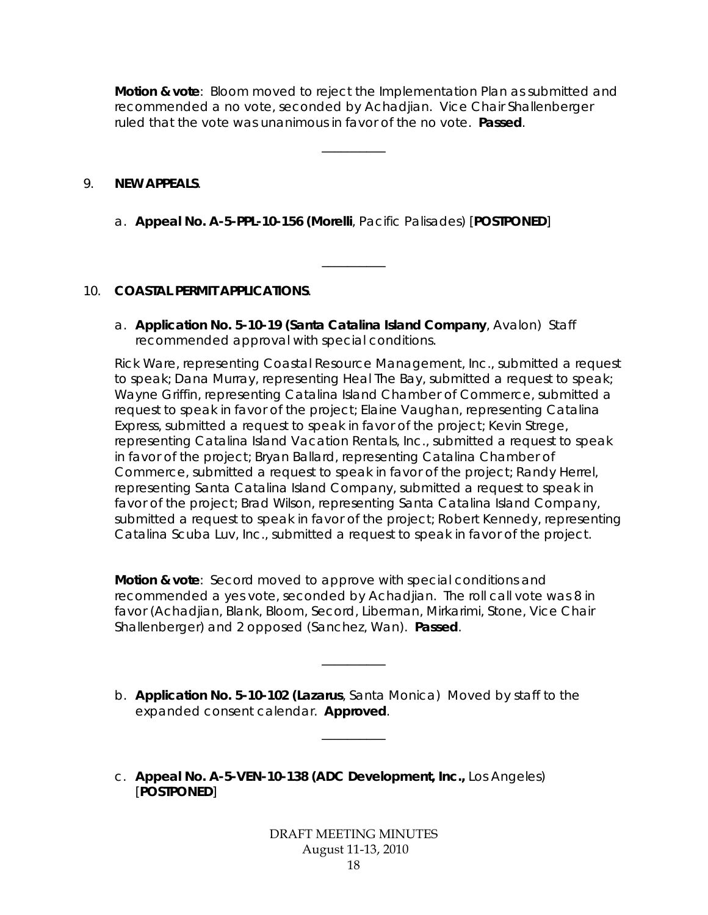**Motion & vote**: Bloom moved to reject the Implementation Plan as submitted and recommended a no vote, seconded by Achadjian. Vice Chair Shallenberger ruled that the vote was unanimous in favor of the no vote. **Passed**.

\_\_\_\_\_\_\_\_\_\_

\_\_\_\_\_\_\_\_\_\_

#### 9. **NEW APPEALS**.

a. **Appeal No. A-5-PPL-10-156 (Morelli**, Pacific Palisades) [**POSTPONED**]

#### 10. **COASTAL PERMIT APPLICATIONS**.

a. **Application No. 5-10-19 (Santa Catalina Island Company**, Avalon) Staff recommended approval with special conditions.

Rick Ware, representing Coastal Resource Management, Inc., submitted a request to speak; Dana Murray, representing Heal The Bay, submitted a request to speak; Wayne Griffin, representing Catalina Island Chamber of Commerce, submitted a request to speak in favor of the project; Elaine Vaughan, representing Catalina Express, submitted a request to speak in favor of the project; Kevin Strege, representing Catalina Island Vacation Rentals, Inc., submitted a request to speak in favor of the project; Bryan Ballard, representing Catalina Chamber of Commerce, submitted a request to speak in favor of the project; Randy Herrel, representing Santa Catalina Island Company, submitted a request to speak in favor of the project; Brad Wilson, representing Santa Catalina Island Company, submitted a request to speak in favor of the project; Robert Kennedy, representing Catalina Scuba Luv, Inc., submitted a request to speak in favor of the project.

**Motion & vote**: Secord moved to approve with special conditions and recommended a yes vote, seconded by Achadjian. The roll call vote was 8 in favor (Achadjian, Blank, Bloom, Secord, Liberman, Mirkarimi, Stone, Vice Chair Shallenberger) and 2 opposed (Sanchez, Wan). **Passed**.

\_\_\_\_\_\_\_\_\_\_

b. **Application No. 5-10-102 (Lazarus**, Santa Monica) Moved by staff to the expanded consent calendar. **Approved**.

\_\_\_\_\_\_\_\_\_\_

c. **Appeal No. A-5-VEN-10-138 (ADC Development, Inc.,** Los Angeles) [**POSTPONED**]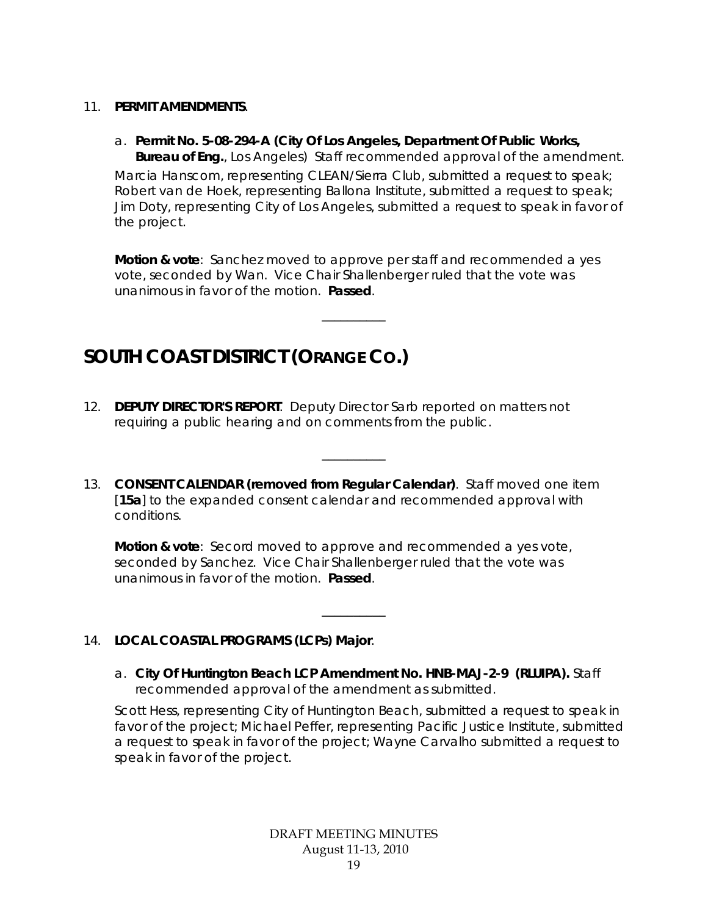- 11. **PERMIT AMENDMENTS**.
	- a. **Permit No. 5-08-294-A (City Of Los Angeles, Department Of Public Works, Bureau of Eng.**, Los Angeles) Staff recommended approval of the amendment.

Marcia Hanscom, representing CLEAN/Sierra Club, submitted a request to speak; Robert van de Hoek, representing Ballona Institute, submitted a request to speak; Jim Doty, representing City of Los Angeles, submitted a request to speak in favor of the project.

**Motion & vote**: Sanchez moved to approve per staff and recommended a yes vote, seconded by Wan. Vice Chair Shallenberger ruled that the vote was unanimous in favor of the motion. **Passed**.

\_\_\_\_\_\_\_\_\_\_

# **SOUTH COAST DISTRICT (ORANGE CO.)**

- 12. **DEPUTY DIRECTOR'S REPORT**. Deputy Director Sarb reported on matters not requiring a public hearing and on comments from the public.
- 13. **CONSENT CALENDAR (removed from Regular Calendar)**. Staff moved one item [**15a**] to the expanded consent calendar and recommended approval with conditions.

\_\_\_\_\_\_\_\_\_\_

**Motion & vote**: Secord moved to approve and recommended a yes vote, seconded by Sanchez. Vice Chair Shallenberger ruled that the vote was unanimous in favor of the motion. **Passed**.

# 14. **LOCAL COASTAL PROGRAMS (LCPs) Major**.

a. **City Of Huntington Beach LCP Amendment No. HNB-MAJ-2-9 (RLUIPA).** Staff recommended approval of the amendment as submitted.

\_\_\_\_\_\_\_\_\_\_

Scott Hess, representing City of Huntington Beach, submitted a request to speak in favor of the project; Michael Peffer, representing Pacific Justice Institute, submitted a request to speak in favor of the project; Wayne Carvalho submitted a request to speak in favor of the project.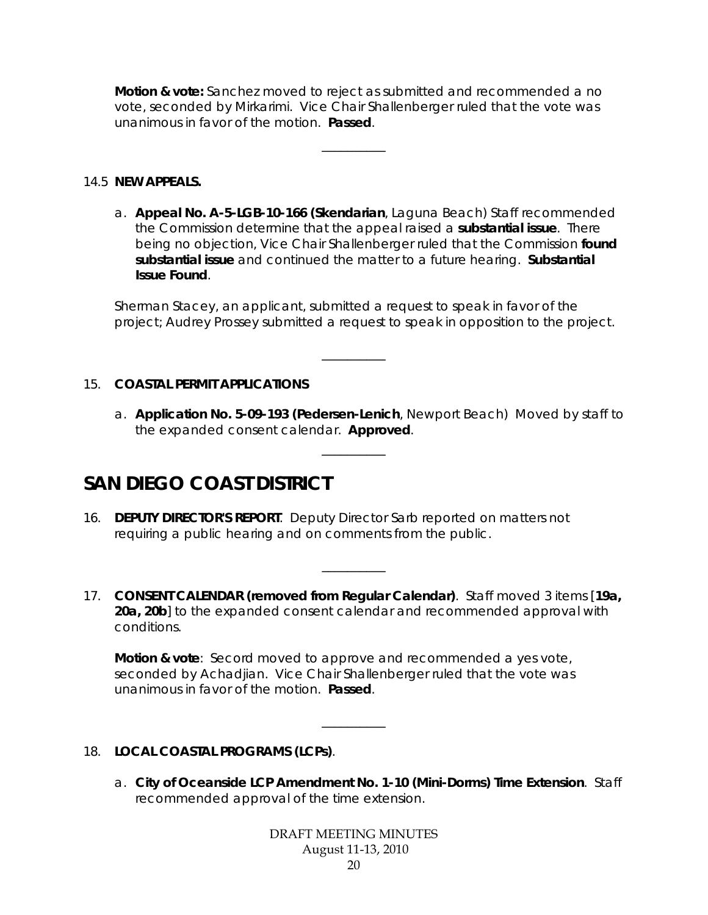**Motion & vote:** Sanchez moved to reject as submitted and recommended a no vote, seconded by Mirkarimi. Vice Chair Shallenberger ruled that the vote was unanimous in favor of the motion. **Passed**.

\_\_\_\_\_\_\_\_\_\_

#### 14.5 **NEW APPEALS.**

a. **Appeal No. A-5-LGB-10-166 (Skendarian**, Laguna Beach) Staff recommended the Commission determine that the appeal raised a **substantial issue**. There being no objection, Vice Chair Shallenberger ruled that the Commission **found substantial issue** and continued the matter to a future hearing. **Substantial Issue Found**.

Sherman Stacey, an applicant, submitted a request to speak in favor of the project; Audrey Prossey submitted a request to speak in opposition to the project.

\_\_\_\_\_\_\_\_\_\_

\_\_\_\_\_\_\_\_\_\_

# 15. **COASTAL PERMIT APPLICATIONS**

a. **Application No. 5-09-193 (Pedersen-Lenich**, Newport Beach) Moved by staff to the expanded consent calendar. **Approved**.

# **SAN DIEGO COAST DISTRICT**

- 16. **DEPUTY DIRECTOR'S REPORT**. Deputy Director Sarb reported on matters not requiring a public hearing and on comments from the public.
- 17. **CONSENT CALENDAR (removed from Regular Calendar)**. Staff moved 3 items [**19a, 20a, 20b**] to the expanded consent calendar and recommended approval with conditions.

\_\_\_\_\_\_\_\_\_\_

**Motion & vote**: Secord moved to approve and recommended a yes vote, seconded by Achadjian. Vice Chair Shallenberger ruled that the vote was unanimous in favor of the motion. **Passed**.

\_\_\_\_\_\_\_\_\_\_

# 18. **LOCAL COASTAL PROGRAMS (LCPs)**.

a. **City of Oceanside LCP Amendment No. 1-10 (Mini-Dorms) Time Extension**. Staff recommended approval of the time extension.

> DRAFT MEETING MINUTES August 11-13, 2010 20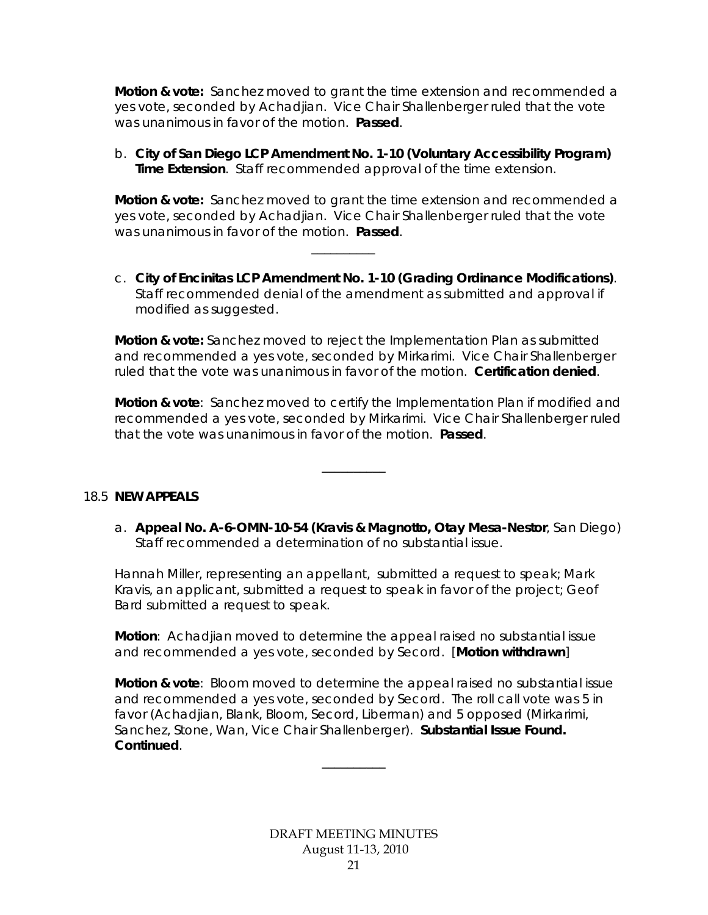**Motion & vote:** Sanchez moved to grant the time extension and recommended a yes vote, seconded by Achadjian. Vice Chair Shallenberger ruled that the vote was unanimous in favor of the motion. **Passed**.

b. **City of San Diego LCP Amendment No. 1-10 (Voluntary Accessibility Program) Time Extension**. Staff recommended approval of the time extension.

**Motion & vote:** Sanchez moved to grant the time extension and recommended a yes vote, seconded by Achadjian. Vice Chair Shallenberger ruled that the vote was unanimous in favor of the motion. **Passed**.

\_\_\_\_\_\_\_\_\_\_

c. **City of Encinitas LCP Amendment No. 1-10 (Grading Ordinance Modifications)**. Staff recommended denial of the amendment as submitted and approval if modified as suggested.

**Motion & vote:** Sanchez moved to reject the Implementation Plan as submitted and recommended a yes vote, seconded by Mirkarimi. Vice Chair Shallenberger ruled that the vote was unanimous in favor of the motion. **Certification denied**.

**Motion & vote**: Sanchez moved to certify the Implementation Plan if modified and recommended a yes vote, seconded by Mirkarimi. Vice Chair Shallenberger ruled that the vote was unanimous in favor of the motion. **Passed**.

\_\_\_\_\_\_\_\_\_\_

18.5 **NEW APPEALS** 

a. **Appeal No. A-6-OMN-10-54 (Kravis & Magnotto, Otay Mesa-Nestor**, San Diego) Staff recommended a determination of no substantial issue.

Hannah Miller, representing an appellant, submitted a request to speak; Mark Kravis, an applicant, submitted a request to speak in favor of the project; Geof Bard submitted a request to speak.

**Motion**: Achadjian moved to determine the appeal raised no substantial issue and recommended a yes vote, seconded by Secord. [**Motion withdrawn**]

**Motion & vote**: Bloom moved to determine the appeal raised no substantial issue and recommended a yes vote, seconded by Secord. The roll call vote was 5 in favor (Achadjian, Blank, Bloom, Secord, Liberman) and 5 opposed (Mirkarimi, Sanchez, Stone, Wan, Vice Chair Shallenberger). **Substantial Issue Found. Continued**.

\_\_\_\_\_\_\_\_\_\_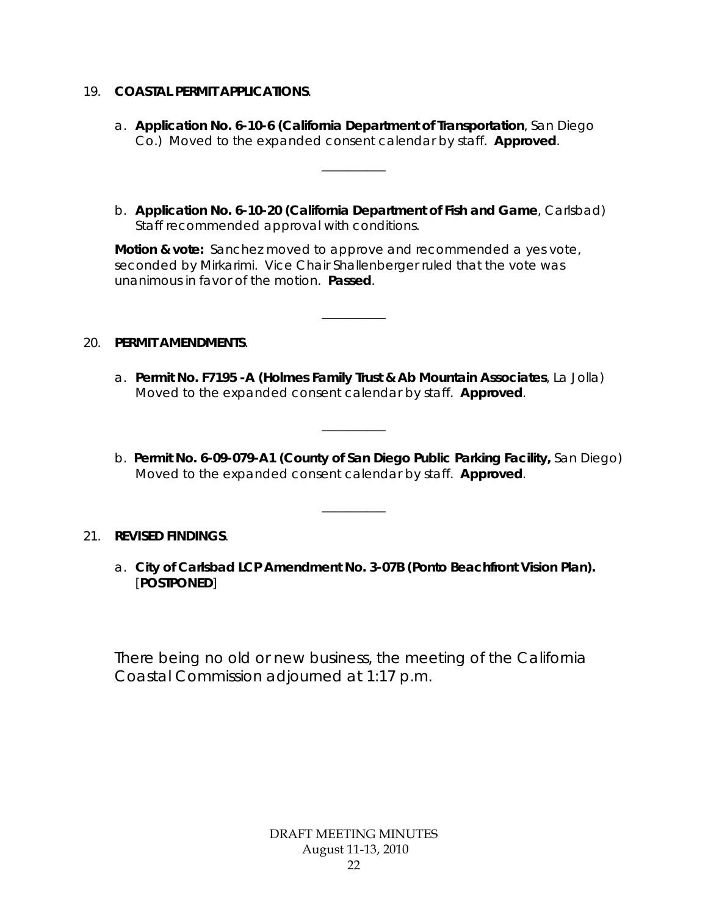#### 19. **COASTAL PERMIT APPLICATIONS**.

a. **Application No. 6-10-6 (California Department of Transportation**, San Diego Co.) Moved to the expanded consent calendar by staff. **Approved**.

\_\_\_\_\_\_\_\_\_\_

b. **Application No. 6-10-20 (California Department of Fish and Game**, Carlsbad) Staff recommended approval with conditions.

**Motion & vote:** Sanchez moved to approve and recommended a yes vote, seconded by Mirkarimi. Vice Chair Shallenberger ruled that the vote was unanimous in favor of the motion. **Passed**.

\_\_\_\_\_\_\_\_\_\_

#### 20. **PERMIT AMENDMENTS**.

a. **Permit No. F7195 -A (Holmes Family Trust & Ab Mountain Associates**, La Jolla) Moved to the expanded consent calendar by staff. **Approved**.

\_\_\_\_\_\_\_\_\_\_

b. **Permit No. 6-09-079-A1 (County of San Diego Public Parking Facility,** San Diego) Moved to the expanded consent calendar by staff. **Approved**.

# 21. **REVISED FINDINGS**.

a. **City of Carlsbad LCP Amendment No. 3-07B (Ponto Beachfront Vision Plan).**  [**POSTPONED**]

\_\_\_\_\_\_\_\_\_\_

There being no old or new business, the meeting of the California Coastal Commission adjourned at 1:17 p.m.